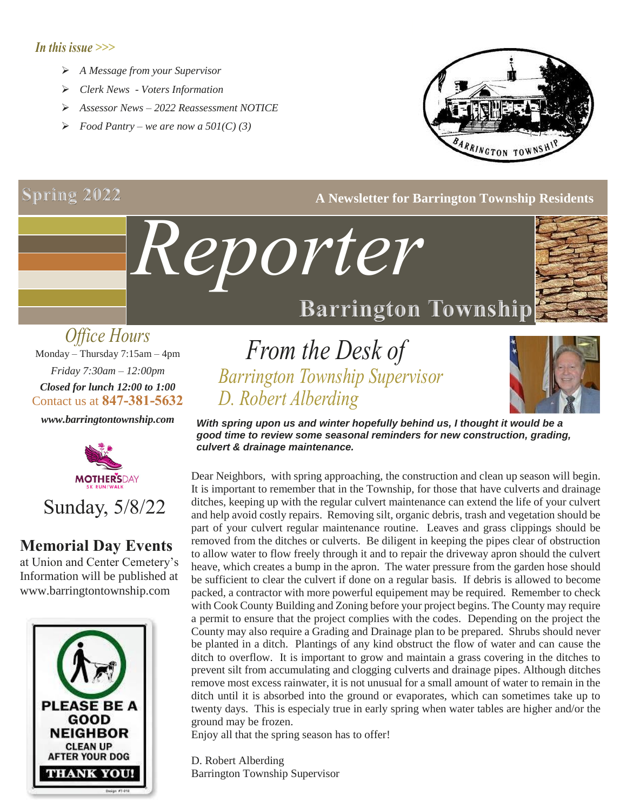### *In this issue >>>*

- *A Message from your Supervisor*
- *Clerk News - Voters Information*
- *Assessor News – 2022 Reassessment NOTICE*
- *Food Pantry we are now a 501(C) (3)*

## **Spring 2022**



### **A Newsletter for Barrington Township Residents**

### *Office Hours* Monday – Thursday 7:15am – 4pm *Friday 7:30am – 12:00pm Closed for lunch 12:00 to 1:00* Contact us at **847-381-5632**

*www.barringtontownship.com*



### **Memorial Day Events**

at Union and Center Cemetery's Information will be published at www.barringtontownship.com



## *From the Desk of Barrington Township Supervisor D. Robert Alberding*

*Reporter*



*With spring upon us and winter hopefully behind us, I thought it would be a good time to review some seasonal reminders for new construction, grading, culvert & drainage maintenance.*

Dear Neighbors, with spring approaching, the construction and clean up season will begin. It is important to remember that in the Township, for those that have culverts and drainage ditches, keeping up with the regular culvert maintenance can extend the life of your culvert and help avoid costly repairs. Removing silt, organic debris, trash and vegetation should be part of your culvert regular maintenance routine. Leaves and grass clippings should be removed from the ditches or culverts. Be diligent in keeping the pipes clear of obstruction to allow water to flow freely through it and to repair the driveway apron should the culvert heave, which creates a bump in the apron. The water pressure from the garden hose should be sufficient to clear the culvert if done on a regular basis. If debris is allowed to become packed, a contractor with more powerful equipement may be required. Remember to check with Cook County Building and Zoning before your project begins. The County may require a permit to ensure that the project complies with the codes. Depending on the project the County may also require a Grading and Drainage plan to be prepared. Shrubs should never be planted in a ditch. Plantings of any kind obstruct the flow of water and can cause the ditch to overflow. It is important to grow and maintain a grass covering in the ditches to prevent silt from accumulating and clogging culverts and drainage pipes. Although ditches remove most excess rainwater, it is not unusual for a small amount of water to remain in the ditch until it is absorbed into the ground or evaporates, which can sometimes take up to twenty days. This is especialy true in early spring when water tables are higher and/or the ground may be frozen.

Enjoy all that the spring season has to offer!

D. Robert Alberding Barrington Township Supervisor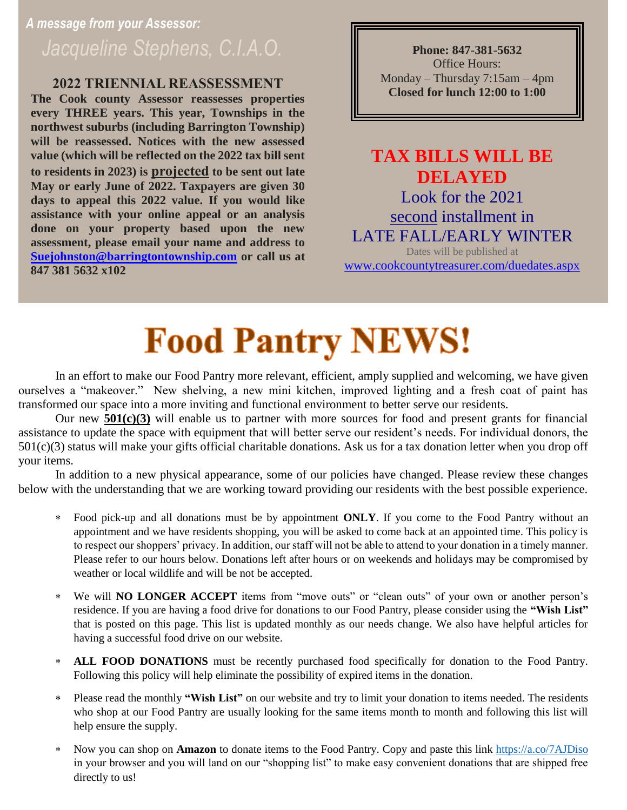## *A message from your Assessor: Jacqueline Stephens, C.I.A.O.* **Phone: 847-381-5632**

### **2022 TRIENNIAL REASSESSMENT**

**The Cook county Assessor reassesses properties every THREE years. This year, Townships in the northwest suburbs (including Barrington Township) will be reassessed. Notices with the new assessed value (which will be reflected on the 2022 tax bill sent to residents in 2023) is projected to be sent out late May or early June of 2022. Taxpayers are given 30 days to appeal this 2022 value. If you would like assistance with your online appeal or an analysis done on your property based upon the new assessment, please email your name and address to [Suejohnston@barringtontownship.com](mailto:Suejohnston@barringtontownship.com) or call us at 847 381 5632 x102** 

Office Hours: Monday – Thursday 7:15am – 4pm **Closed for lunch 12:00 to 1:00**

## **TAX BILLS WILL BE DELAYED** Look for the 2021 second installment in LATE FALL/EARLY WINTER

Dates will be published at [www.cookcountytreasurer.com/duedates.aspx](http://www.cookcountytreasurer.com/duedates.aspx)

# **Food Pantry NEWS!**

In an effort to make our Food Pantry more relevant, efficient, amply supplied and welcoming, we have given ourselves a "makeover." New shelving, a new mini kitchen, improved lighting and a fresh coat of paint has transformed our space into a more inviting and functional environment to better serve our residents.

Our new **501(c)(3)** will enable us to partner with more sources for food and present grants for financial assistance to update the space with equipment that will better serve our resident's needs. For individual donors, the  $501(c)(3)$  status will make your gifts official charitable donations. Ask us for a tax donation letter when you drop off your items.

In addition to a new physical appearance, some of our policies have changed. Please review these changes below with the understanding that we are working toward providing our residents with the best possible experience.

- Food pick-up and all donations must be by appointment **ONLY**. If you come to the Food Pantry without an appointment and we have residents shopping, you will be asked to come back at an appointed time. This policy is to respect our shoppers' privacy. In addition, our staff will not be able to attend to your donation in a timely manner. Please refer to our hours below. Donations left after hours or on weekends and holidays may be compromised by weather or local wildlife and will be not be accepted.
- We will **NO LONGER ACCEPT** items from "move outs" or "clean outs" of your own or another person's residence. If you are having a food drive for donations to our Food Pantry, please consider using the **"Wish List"** that is posted on this page. This list is updated monthly as our needs change. We also have helpful articles for having a successful food drive on our website.
- **ALL FOOD DONATIONS** must be recently purchased food specifically for donation to the Food Pantry. Following this policy will help eliminate the possibility of expired items in the donation.
- Please read the monthly **"Wish List"** on our website and try to limit your donation to items needed. The residents who shop at our Food Pantry are usually looking for the same items month to month and following this list will help ensure the supply.
- Now you can shop on **Amazon** to donate items to the Food Pantry. Copy and paste this link<https://a.co/7AJDiso> in your browser and you will land on our "shopping list" to make easy convenient donations that are shipped free directly to us!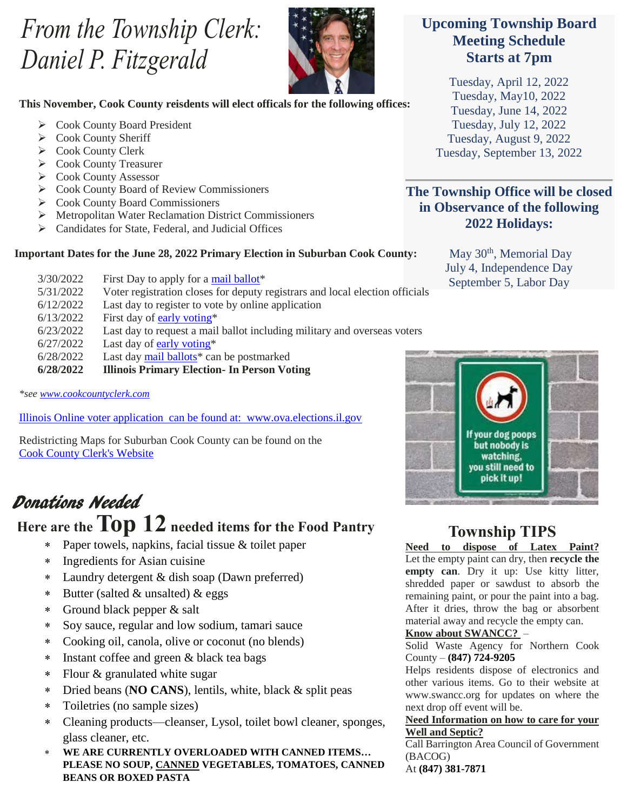## *From the Township Clerk: Daniel P. Fitzgerald*



### **This November, Cook County reisdents will elect officals for the following offices:**

- Cook County Board President
- Cook County Sheriff
- Cook County Clerk
- Cook County Treasurer
- Cook County Assessor
- ▶ Cook County Board of Review Commissioners
- Cook County Board Commissioners
- Metropolitan Water Reclamation District Commissioners
- Candidates for State, Federal, and Judicial Offices

### **Important Dates for the June 28, 2022 Primary Election in Suburban Cook County:**

| 3/30/2022 | First Day to apply for a mail ballot*                                        |
|-----------|------------------------------------------------------------------------------|
| 5/31/2022 | Voter registration closes for deputy registrars and local election officials |
| 6/12/2022 | Last day to register to vote by online application                           |
| 6/13/2022 | First day of early voting*                                                   |
| 6/23/2022 | Last day to request a mail ballot including military and overseas voters     |
| 6/27/2022 | Last day of early voting $*$                                                 |
| 6/28/2022 | Last day mail ballots <sup>*</sup> can be postmarked                         |
| 6/28/2022 | <b>Illinois Primary Election- In Person Voting</b>                           |

*\*see [www.cookcountyclerk.com](http://www.cookcountyclerk.com/)*

Illinois Online voter application can be found at: www.ova.elections.il.gov

Redistricting Maps for Suburban Cook County can be found on the [Cook County Clerk's Website](https://r20.rs6.net/tn.jsp?f=001LSx2WOmQEdbiL6INQmD5DOXW57jSBybgAKbyPKT3MJgTsxmHKrolLuz4DwAan1rfFTR8rZ26ZgrOI6TFbx4g_-nIotc7ABRg1FP9gILsfkGwozFleqTpkgBTVHhso9J9amt0jQYRKqF-XqJ8FXdc3BqlTWd56JoHK1qSHuiQgRznNVw7VCJeMw==&c=2EcKHSDIbs5uDiJWtbSDsRaZOG6BEBpE5gX3-LnZWptPgPyHzkdBUQ==&ch=B3KjXXb-7HVaorqHl-vV8pioZSdOHfW46zw88BCcb0rckzkZvTGtAQ==)

## **Here are the Top 12 needed items for the Food Pantry** Donations Needed

- Paper towels, napkins, facial tissue & toilet paper
- Ingredients for Asian cuisine
- Laundry detergent & dish soap (Dawn preferred)
- Butter (salted & unsalted) & eggs
- Ground black pepper & salt
- Soy sauce, regular and low sodium, tamari sauce
- Cooking oil, canola, olive or coconut (no blends)
- \* Instant coffee and green & black tea bags
- Flour & granulated white sugar
- Dried beans (**NO CANS**), lentils, white, black & split peas
- Toiletries (no sample sizes)
- Cleaning products—cleanser, Lysol, toilet bowl cleaner, sponges, glass cleaner, etc.
- **WE ARE CURRENTLY OVERLOADED WITH CANNED ITEMS… PLEASE NO SOUP, CANNED VEGETABLES, TOMATOES, CANNED BEANS OR BOXED PASTA**

### **Upcoming Township Board Meeting Schedule Starts at 7pm**

Tuesday, April 12, 2022 Tuesday, May10, 2022 Tuesday, June 14, 2022 Tuesday, July 12, 2022 Tuesday, August 9, 2022 Tuesday, September 13, 2022

**The Township Office will be closed in Observance of the following 2022 Holidays:**

> May 30<sup>th</sup>, Memorial Day July 4, Independence Day September 5, Labor Day



## **Township TIPS**

**Need to dispose of Latex Paint?** Let the empty paint can dry, then **recycle the empty can**. Dry it up: Use kitty litter, shredded paper or sawdust to absorb the remaining paint, or pour the paint into a bag. After it dries, throw the bag or absorbent material away and recycle the empty can.

### **Know about SWANCC?** –

Solid Waste Agency for Northern Cook County – **[\(847\) 724-9205](https://www.google.com/search?q=swancc&oq=SWANCC&aqs=chrome.0.69i59j46i39i175i199j69i59j0i512l2j69i60l3.1265j0j9&sourceid=chrome&ie=UTF-8)**

Helps residents dispose of electronics and other various items. Go to their website at www.swancc.org for updates on where the next drop off event will be.

### **Need Information on how to care for your Well and Septic?**

Call Barrington Area Council of Government (BACOG)

At **[\(847\) 381-7871](https://www.google.com/search?q=bacog&oq=bacog&aqs=chrome..69i57j0i512j0i10j0i10i131i433j0i512l3j46i10i433j0i10j0i10i131i433.4701j0j15&sourceid=chrome&ie=UTF-8)**